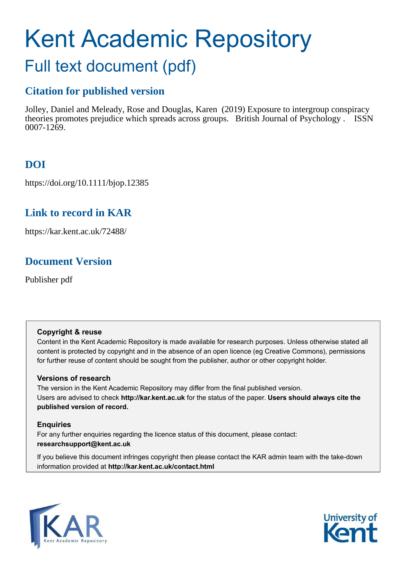# Kent Academic Repository

## Full text document (pdf)

## **Citation for published version**

Jolley, Daniel and Meleady, Rose and Douglas, Karen (2019) Exposure to intergroup conspiracy theories promotes prejudice which spreads across groups. British Journal of Psychology . ISSN 0007-1269.

## **DOI**

https://doi.org/10.1111/bjop.12385

## **Link to record in KAR**

https://kar.kent.ac.uk/72488/

## **Document Version**

Publisher pdf

#### **Copyright & reuse**

Content in the Kent Academic Repository is made available for research purposes. Unless otherwise stated all content is protected by copyright and in the absence of an open licence (eg Creative Commons), permissions for further reuse of content should be sought from the publisher, author or other copyright holder.

#### **Versions of research**

The version in the Kent Academic Repository may differ from the final published version. Users are advised to check **http://kar.kent.ac.uk** for the status of the paper. **Users should always cite the published version of record.**

#### **Enquiries**

For any further enquiries regarding the licence status of this document, please contact: **researchsupport@kent.ac.uk**

If you believe this document infringes copyright then please contact the KAR admin team with the take-down information provided at **http://kar.kent.ac.uk/contact.html**



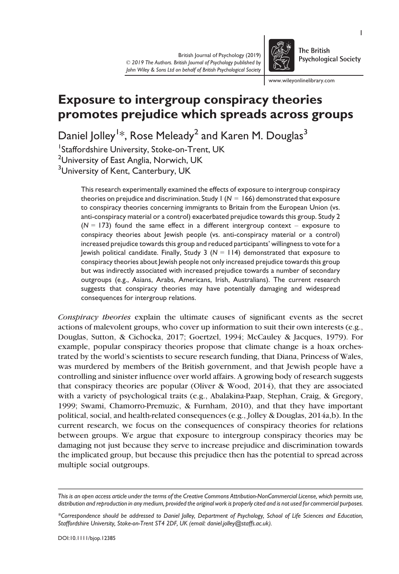

The British **Psychological Society** 

www.wileyonlinelibrary.com

### Exposure to intergroup conspiracy theories promotes prejudice which spreads across groups

Daniel Jolley $^{\rm l*}$ , Rose Meleady $^2$  and Karen M. Douglas $^3$ 

1 Staffordshire University, Stoke-on-Trent, UK

<sup>2</sup>University of East Anglia, Norwich, UK

<sup>3</sup>University of Kent, Canterbury, UK

This research experimentally examined the effects of exposure to intergroup conspiracy theories on prejudice and discrimination. Study  $1 (N = 166)$  demonstrated that exposure to conspiracy theories concerning immigrants to Britain from the European Union (vs. anti-conspiracy material or a control) exacerbated prejudice towards this group. Study 2  $(N = 173)$  found the same effect in a different intergroup context – exposure to conspiracy theories about Jewish people (vs. anti-conspiracy material or a control) increased prejudice towards this group and reduced participants' willingness to vote for a Jewish political candidate. Finally, Study 3 (*N* = 114) demonstrated that exposure to conspiracy theories about Jewish people not only increased prejudice towards this group but was indirectly associated with increased prejudice towards a number of secondary outgroups (e.g., Asians, Arabs, Americans, Irish, Australians). The current research suggests that conspiracy theories may have potentially damaging and widespread consequences for intergroup relations.

*Conspiracy theories* explain the ultimate causes of significant events as the secret actions of malevolent groups, who cover up information to suit their own interests (e.g., Douglas, Sutton, & Cichocka, 2017; Goertzel, 1994; McCauley & Jacques, 1979). For example, popular conspiracy theories propose that climate change is a hoax orchestrated by the world's scientists to secure research funding, that Diana, Princess of Wales, was murdered by members of the British government, and that Jewish people have a controlling and sinister influence over world affairs. A growing body of research suggests that conspiracy theories are popular (Oliver & Wood, 2014), that they are associated with a variety of psychological traits (e.g., Abalakina-Paap, Stephan, Craig, & Gregory, 1999; Swami, Chamorro-Premuzic, & Furnham, 2010), and that they have important political, social, and health-related consequences (e.g., Jolley & Douglas, 2014a,b). In the current research, we focus on the consequences of conspiracy theories for relations between groups. We argue that exposure to intergroup conspiracy theories may be damaging not just because they serve to increase prejudice and discrimination towards the implicated group, but because this prejudice then has the potential to spread across multiple social outgroups.

*This is an open access article under the terms of the [Creative Commons Attribution-NonCommercial](http://creativecommons.org/licenses/by-nc/4.0/) License, which permits use, distribution and reproduction in any medium, provided the original work is properly cited and is not used for commercial purposes.*

*<sup>\*</sup>Correspondence should be addressed to Daniel Jolley, Department of Psychology, School of Life Sciences and Education, Staffordshire University, Stoke-on-Trent ST4 2DF, UK (email: [daniel.jolley@staffs.ac.uk\)](mailto:).*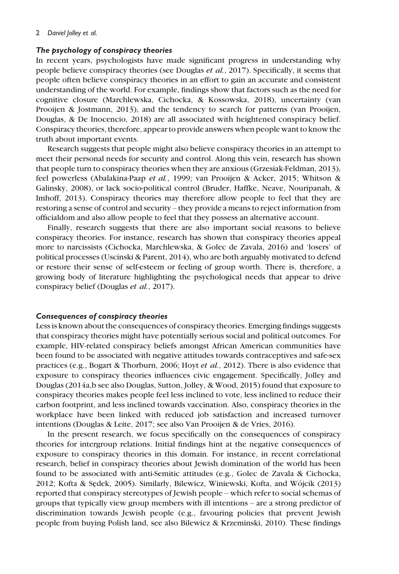#### The psychology of conspiracy theories

In recent years, psychologists have made significant progress in understanding why people believe conspiracy theories (see Douglas *et al.*, 2017). Specifically, it seems that people often believe conspiracy theories in an effort to gain an accurate and consistent understanding of the world. For example, findings show that factors such as the need for cognitive closure (Marchlewska, Cichocka, & Kossowska, 2018), uncertainty (van Prooijen & Jostmann, 2013), and the tendency to search for patterns (van Prooijen, Douglas, & De Inocencio, 2018) are all associated with heightened conspiracy belief. Conspiracy theories, therefore, appear to provide answers when people want to know the truth about important events.

Research suggests that people might also believe conspiracy theories in an attempt to meet their personal needs for security and control. Along this vein, research has shown that people turn to conspiracy theories when they are anxious (Grzesiak-Feldman, 2013), feel powerless (Abalakina-Paap *et al.*, 1999; van Prooijen & Acker, 2015; Whitson & Galinsky, 2008), or lack socio-political control (Bruder, Haffke, Neave, Nouripanah, & Imhoff, 2013). Conspiracy theories may therefore allow people to feel that they are restoring a sense of control and security – they provide a means to reject information from officialdom and also allow people to feel that they possess an alternative account.

Finally, research suggests that there are also important social reasons to believe conspiracy theories. For instance, research has shown that conspiracy theories appeal more to narcissists (Cichocka, Marchlewska, & Golec de Zavala, 2016) and 'losers' of political processes (Uscinski & Parent, 2014), who are both arguably motivated to defend or restore their sense of self-esteem or feeling of group worth. There is, therefore, a growing body of literature highlighting the psychological needs that appear to drive conspiracy belief (Douglas *et al.*, 2017).

#### Consequences of conspiracy theories

Less is known about the consequences of conspiracy theories. Emerging findings suggests that conspiracy theories might have potentially serious social and political outcomes. For example, HIV-related conspiracy beliefs amongst African American communities have been found to be associated with negative attitudes towards contraceptives and safe-sex practices (e.g., Bogart & Thorburn, 2006; Hoyt *et al.*, 2012). There is also evidence that exposure to conspiracy theories influences civic engagement. Specifically, Jolley and Douglas (2014a,b see also Douglas, Sutton, Jolley, & Wood, 2015) found that exposure to conspiracy theories makes people feel less inclined to vote, less inclined to reduce their carbon footprint, and less inclined towards vaccination. Also, conspiracy theories in the workplace have been linked with reduced job satisfaction and increased turnover intentions (Douglas & Leite, 2017; see also Van Prooijen & de Vries, 2016).

In the present research, we focus specifically on the consequences of conspiracy theories for intergroup relations. Initial findings hint at the negative consequences of exposure to conspiracy theories in this domain. For instance, in recent correlational research, belief in conspiracy theories about Jewish domination of the world has been found to be associated with anti-Semitic attitudes (e.g., Golec de Zavala & Cichocka, 2012; Kofta & Sezdek, 2005). Similarly, Bilewicz, Winiewski, Kofta, and Wojcik (2013) reported that conspiracy stereotypes of Jewish people – which refer to social schemas of groups that typically view group members with ill intentions – are a strong predictor of discrimination towards Jewish people (e.g., favouring policies that prevent Jewish people from buying Polish land, see also Bilewicz & Krzeminski, 2010). These findings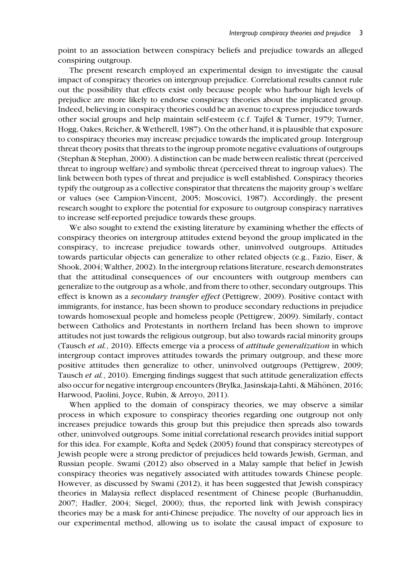point to an association between conspiracy beliefs and prejudice towards an alleged conspiring outgroup.

The present research employed an experimental design to investigate the causal impact of conspiracy theories on intergroup prejudice. Correlational results cannot rule out the possibility that effects exist only because people who harbour high levels of prejudice are more likely to endorse conspiracy theories about the implicated group. Indeed, believing in conspiracy theories could be an avenue to express prejudice towards other social groups and help maintain self-esteem (c.f. Tajfel & Turner, 1979; Turner, Hogg, Oakes, Reicher, & Wetherell, 1987). On the other hand, it is plausible that exposure to conspiracy theories may increase prejudice towards the implicated group. Intergroup threat theory posits that threats to the ingroup promote negative evaluations of outgroups (Stephan & Stephan, 2000). A distinction can be made between realistic threat (perceived threat to ingroup welfare) and symbolic threat (perceived threat to ingroup values). The link between both types of threat and prejudice is well established. Conspiracy theories typify the outgroup as a collective conspirator that threatens the majority group's welfare or values (see Campion-Vincent, 2005; Moscovici, 1987). Accordingly, the present research sought to explore the potential for exposure to outgroup conspiracy narratives to increase self-reported prejudice towards these groups.

We also sought to extend the existing literature by examining whether the effects of conspiracy theories on intergroup attitudes extend beyond the group implicated in the conspiracy, to increase prejudice towards other, uninvolved outgroups. Attitudes towards particular objects can generalize to other related objects (e.g., Fazio, Eiser, & Shook, 2004; Walther, 2002). In the intergroup relations literature, research demonstrates that the attitudinal consequences of our encounters with outgroup members can generalize to the outgroup as a whole, and from there to other, secondary outgroups. This effect is known as a *secondary transfer effect* (Pettigrew, 2009). Positive contact with immigrants, for instance, has been shown to produce secondary reductions in prejudice towards homosexual people and homeless people (Pettigrew, 2009). Similarly, contact between Catholics and Protestants in northern Ireland has been shown to improve attitudes not just towards the religious outgroup, but also towards racial minority groups (Tausch *et al.*, 2010). Effects emerge via a process of *attitude generalization* in which intergroup contact improves attitudes towards the primary outgroup, and these more positive attitudes then generalize to other, uninvolved outgroups (Pettigrew, 2009; Tausch *et al.*, 2010). Emerging findings suggest that such attitude generalization effects also occur for negative intergroup encounters (Brylka, Jasinskaja-Lahti, & Mähönen, 2016; Harwood, Paolini, Joyce, Rubin, & Arroyo, 2011).

When applied to the domain of conspiracy theories, we may observe a similar process in which exposure to conspiracy theories regarding one outgroup not only increases prejudice towards this group but this prejudice then spreads also towards other, uninvolved outgroups. Some initial correlational research provides initial support for this idea. For example, Kofta and Sędek (2005) found that conspiracy stereotypes of Jewish people were a strong predictor of prejudices held towards Jewish, German, and Russian people. Swami (2012) also observed in a Malay sample that belief in Jewish conspiracy theories was negatively associated with attitudes towards Chinese people. However, as discussed by Swami (2012), it has been suggested that Jewish conspiracy theories in Malaysia reflect displaced resentment of Chinese people (Burhanuddin, 2007; Hadler, 2004; Siegel, 2000); thus, the reported link with Jewish conspiracy theories may be a mask for anti-Chinese prejudice. The novelty of our approach lies in our experimental method, allowing us to isolate the causal impact of exposure to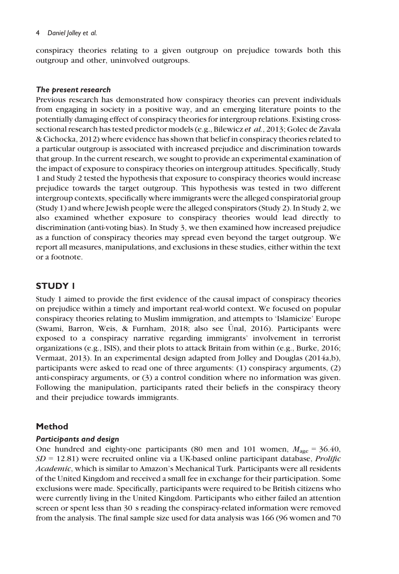#### 4 *Daniel Jolley et al.*

conspiracy theories relating to a given outgroup on prejudice towards both this outgroup and other, uninvolved outgroups.

#### The present research

Previous research has demonstrated how conspiracy theories can prevent individuals from engaging in society in a positive way, and an emerging literature points to the potentially damaging effect of conspiracy theories for intergroup relations. Existing crosssectional research has tested predictor models (e.g., Bilewicz *et al.*, 2013; Golec de Zavala & Cichocka, 2012) where evidence has shown that belief in conspiracy theories related to a particular outgroup is associated with increased prejudice and discrimination towards that group. In the current research, we sought to provide an experimental examination of the impact of exposure to conspiracy theories on intergroup attitudes. Specifically, Study 1 and Study 2 tested the hypothesis that exposure to conspiracy theories would increase prejudice towards the target outgroup. This hypothesis was tested in two different intergroup contexts, specifically where immigrants were the alleged conspiratorial group (Study 1) and where Jewish people were the alleged conspirators (Study 2). In Study 2, we also examined whether exposure to conspiracy theories would lead directly to discrimination (anti-voting bias). In Study 3, we then examined how increased prejudice as a function of conspiracy theories may spread even beyond the target outgroup. We report all measures, manipulations, and exclusions in these studies, either within the text or a footnote.

#### STUDY 1

Study 1 aimed to provide the first evidence of the causal impact of conspiracy theories on prejudice within a timely and important real-world context. We focused on popular conspiracy theories relating to Muslim immigration, and attempts to 'Islamicize' Europe (Swami, Barron, Weis, & Furnham, 2018; also see Unal, 2016). Participants were € exposed to a conspiracy narrative regarding immigrants' involvement in terrorist organizations (e.g., ISIS), and their plots to attack Britain from within (e.g., Burke, 2016; Vermaat, 2013). In an experimental design adapted from Jolley and Douglas (2014a,b), participants were asked to read one of three arguments: (1) conspiracy arguments, (2) anti-conspiracy arguments, or (3) a control condition where no information was given. Following the manipulation, participants rated their beliefs in the conspiracy theory and their prejudice towards immigrants.

#### Method

#### Participants and design

One hundred and eighty-one participants (80 men and 101 women,  $M_{\text{age}} = 36.40$ , *SD* = 12.81) were recruited online via a UK-based online participant database, *Prolific Academic*, which is similar to Amazon's Mechanical Turk. Participants were all residents of the United Kingdom and received a small fee in exchange for their participation. Some exclusions were made. Specifically, participants were required to be British citizens who were currently living in the United Kingdom. Participants who either failed an attention screen or spent less than 30 s reading the conspiracy-related information were removed from the analysis. The final sample size used for data analysis was 166 (96 women and 70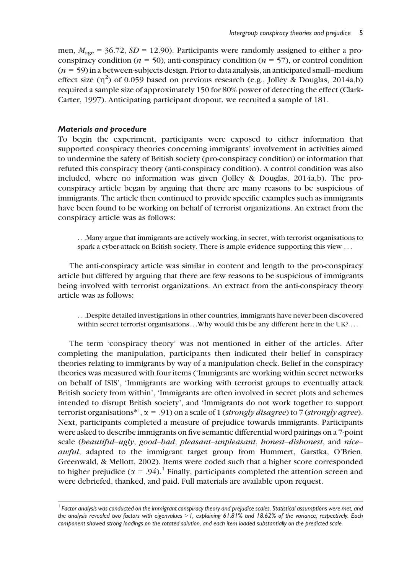men,  $M_{\text{age}} = 36.72$ ,  $SD = 12.90$ ). Participants were randomly assigned to either a proconspiracy condition ( $n = 50$ ), anti-conspiracy condition ( $n = 57$ ), or control condition (*n* = 59) in a between-subjects design. Prior to data analysis, an anticipated small–medium effect size  $(\eta^2)$  of 0.059 based on previous research (e.g., Jolley & Douglas, 2014a,b) required a sample size of approximately 150 for 80% power of detecting the effect (Clark-Carter, 1997). Anticipating participant dropout, we recruited a sample of 181.

#### Materials and procedure

To begin the experiment, participants were exposed to either information that supported conspiracy theories concerning immigrants' involvement in activities aimed to undermine the safety of British society (pro-conspiracy condition) or information that refuted this conspiracy theory (anti-conspiracy condition). A control condition was also included, where no information was given (Jolley & Douglas, 2014a,b). The proconspiracy article began by arguing that there are many reasons to be suspicious of immigrants. The article then continued to provide specific examples such as immigrants have been found to be working on behalf of terrorist organizations. An extract from the conspiracy article was as follows:

...Many argue that immigrants are actively working, in secret, with terrorist organisations to spark a cyber-attack on British society. There is ample evidence supporting this view ...

The anti-conspiracy article was similar in content and length to the pro-conspiracy article but differed by arguing that there are few reasons to be suspicious of immigrants being involved with terrorist organizations. An extract from the anti-conspiracy theory article was as follows:

...Despite detailed investigations in other countries, immigrants have never been discovered within secret terrorist organisations...Why would this be any different here in the UK? ...

The term 'conspiracy theory' was not mentioned in either of the articles. After completing the manipulation, participants then indicated their belief in conspiracy theories relating to immigrants by way of a manipulation check. Belief in the conspiracy theories was measured with four items ('Immigrants are working within secret networks on behalf of ISIS', 'Immigrants are working with terrorist groups to eventually attack British society from within', 'Immigrants are often involved in secret plots and schemes intended to disrupt British society', and 'Immigrants do not work together to support terrorist organisations\*', a = .91) on a scale of 1 (*strongly disagree*) to 7 (*strongly agree*). Next, participants completed a measure of prejudice towards immigrants. Participants were asked to describe immigrants on five semantic differential word pairings on a 7-point scale (*beautiful*–*ugly*, *good*–*bad*, *pleasant*–*unpleasant*, *honest*–*dishonest*, and *nice*– *awful*, adapted to the immigrant target group from Hummert, Garstka, O'Brien, Greenwald, & Mellott, 2002). Items were coded such that a higher score corresponded to higher prejudice ( $\alpha = .94$ ).<sup>1</sup> Finally, participants completed the attention screen and were debriefed, thanked, and paid. Full materials are available upon request.

<sup>&</sup>lt;sup>1</sup> Factor analysis was conducted on the immigrant conspiracy theory and prejudice scales. Statistical assumptions were met, and *the analysis revealed two factors with eigenvalues* >*1, explaining 61.81% and 18.62% of the variance, respectively. Each component showed strong loadings on the rotated solution, and each item loaded substantially on the predicted scale.*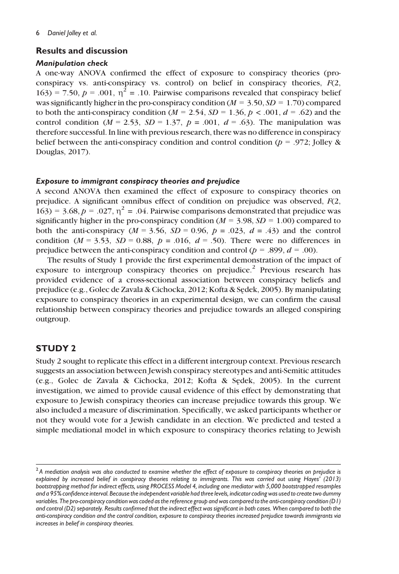#### Results and discussion

#### Manipulation check

A one-way ANOVA confirmed the effect of exposure to conspiracy theories (proconspiracy vs. anti-conspiracy vs. control) on belief in conspiracy theories, *F*(2, 163) = 7.50,  $p = .001$ ,  $\eta^2 = .10$ . Pairwise comparisons revealed that conspiracy belief was significantly higher in the pro-conspiracy condition  $(M = 3.50, SD = 1.70)$  compared to both the anti-conspiracy condition  $(M = 2.54, SD = 1.36, p < .001, d = .62)$  and the control condition ( $M = 2.53$ ,  $SD = 1.37$ ,  $p = .001$ ,  $d = .63$ ). The manipulation was therefore successful. In line with previous research, there was no difference in conspiracy belief between the anti-conspiracy condition and control condition ( $p = .972$ ; Jolley & Douglas, 2017).

#### Exposure to immigrant conspiracy theories and prejudice

A second ANOVA then examined the effect of exposure to conspiracy theories on prejudice. A significant omnibus effect of condition on prejudice was observed, *F*(2, 163) = 3.68,  $p = .027$ ,  $\eta^2 = .04$ . Pairwise comparisons demonstrated that prejudice was significantly higher in the pro-conspiracy condition ( $M = 3.98$ ,  $SD = 1.00$ ) compared to both the anti-conspiracy  $(M = 3.56, SD = 0.96, p = .023, d = .43)$  and the control condition ( $M = 3.53$ ,  $SD = 0.88$ ,  $p = .016$ ,  $d = .50$ ). There were no differences in prejudice between the anti-conspiracy condition and control ( $p = .899$ ,  $d = .00$ ).

The results of Study 1 provide the first experimental demonstration of the impact of exposure to intergroup conspiracy theories on prejudice.<sup>2</sup> Previous research has provided evidence of a cross-sectional association between conspiracy beliefs and prejudice (e.g., Golec de Zavala & Cichocka, 2012; Kofta & Sezdek, 2005). By manipulating exposure to conspiracy theories in an experimental design, we can confirm the causal relationship between conspiracy theories and prejudice towards an alleged conspiring outgroup.

#### STUDY 2

Study 2 sought to replicate this effect in a different intergroup context. Previous research suggests an association between Jewish conspiracy stereotypes and anti-Semitic attitudes (e.g., Golec de Zavala & Cichocka, 2012; Kofta & Sezdek, 2005). In the current investigation, we aimed to provide causal evidence of this effect by demonstrating that exposure to Jewish conspiracy theories can increase prejudice towards this group. We also included a measure of discrimination. Specifically, we asked participants whether or not they would vote for a Jewish candidate in an election. We predicted and tested a simple mediational model in which exposure to conspiracy theories relating to Jewish

<sup>2</sup> *A mediation analysis was also conducted to examine whether the effect of exposure to conspiracy theories on prejudice is explained by increased belief in conspiracy theories relating to immigrants. This was carried out using Hayes' (2013) bootstrapping method for indirect effects, using PROCESS Model 4, including one mediator with 5,000 bootstrapped resamples and a 95% confidence interval. Because the independent variable had three levels, indicator coding was used to create two dummy variables. The pro-conspiracy condition was coded as the reference group and was compared to the anti-conspiracy condition (D1) and control (D2) separately. Results confirmed that the indirect effect was significant in both cases. When compared to both the anti-conspiracy condition and the control condition, exposure to conspiracy theories increased prejudice towards immigrants via increases in belief in conspiracy theories.*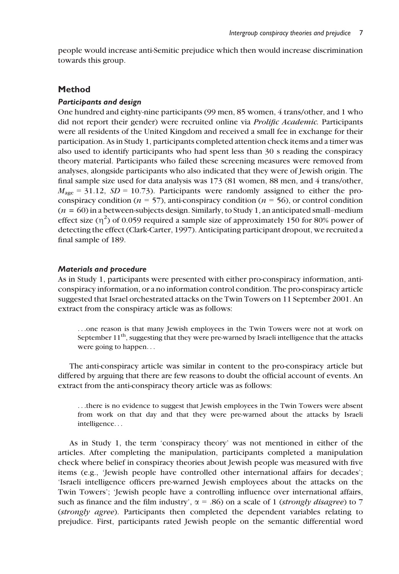people would increase anti-Semitic prejudice which then would increase discrimination towards this group.

#### Method

#### Participants and design

One hundred and eighty-nine participants (99 men, 85 women, 4 trans/other, and 1 who did not report their gender) were recruited online via *Prolific Academic.* Participants were all residents of the United Kingdom and received a small fee in exchange for their participation. As in Study 1, participants completed attention check items and a timer was also used to identify participants who had spent less than 30 s reading the conspiracy theory material. Participants who failed these screening measures were removed from analyses, alongside participants who also indicated that they were of Jewish origin. The final sample size used for data analysis was 173 (81 women, 88 men, and 4 trans/other,  $M<sub>age</sub> = 31.12, SD = 10.73$ . Participants were randomly assigned to either the proconspiracy condition ( $n = 57$ ), anti-conspiracy condition ( $n = 56$ ), or control condition (*n =* 60) in a between-subjects design. Similarly, to Study 1, an anticipated small–medium effect size  $(\eta^2)$  of 0.059 required a sample size of approximately 150 for 80% power of detecting the effect (Clark-Carter, 1997). Anticipating participant dropout, we recruited a final sample of 189.

#### Materials and procedure

As in Study 1, participants were presented with either pro-conspiracy information, anticonspiracy information, or a no information control condition. The pro-conspiracy article suggested that Israel orchestrated attacks on the Twin Towers on 11 September 2001. An extract from the conspiracy article was as follows:

...one reason is that many Jewish employees in the Twin Towers were not at work on September  $11<sup>th</sup>$ , suggesting that they were pre-warned by Israeli intelligence that the attacks were going to happen...

The anti-conspiracy article was similar in content to the pro-conspiracy article but differed by arguing that there are few reasons to doubt the official account of events. An extract from the anti-conspiracy theory article was as follows:

...there is no evidence to suggest that Jewish employees in the Twin Towers were absent from work on that day and that they were pre-warned about the attacks by Israeli intelligence...

As in Study 1, the term 'conspiracy theory' was not mentioned in either of the articles. After completing the manipulation, participants completed a manipulation check where belief in conspiracy theories about Jewish people was measured with five items (e.g., 'Jewish people have controlled other international affairs for decades'; 'Israeli intelligence officers pre-warned Jewish employees about the attacks on the Twin Towers'; 'Jewish people have a controlling influence over international affairs, such as finance and the film industry',  $\alpha = .86$ ) on a scale of 1 (*strongly disagree*) to 7 (*strongly agree*). Participants then completed the dependent variables relating to prejudice. First, participants rated Jewish people on the semantic differential word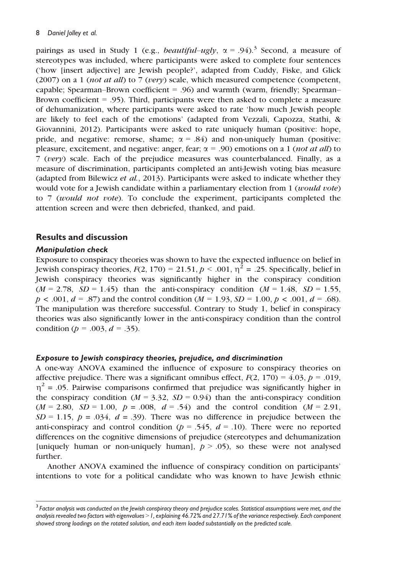pairings as used in Study 1 (e.g., *beautiful–ugly*,  $\alpha = .94$ ).<sup>3</sup> Second, a measure of stereotypes was included, where participants were asked to complete four sentences ('how [insert adjective] are Jewish people?', adapted from Cuddy, Fiske, and Glick (2007) on a 1 (*not at all*) to 7 (*very*) scale, which measured competence (competent, capable; Spearman–Brown coefficient = .96) and warmth (warm, friendly; Spearman– Brown coefficient = .95). Third, participants were then asked to complete a measure of dehumanization, where participants were asked to rate 'how much Jewish people are likely to feel each of the emotions' (adapted from Vezzali, Capozza, Stathi, & Giovannini, 2012). Participants were asked to rate uniquely human (positive: hope, pride, and negative: remorse, shame;  $\alpha = .84$ ) and non-uniquely human (positive: pleasure, excitement, and negative: anger, fear;  $\alpha = .90$ ) emotions on a 1 (*not at all*) to 7 (*very*) scale. Each of the prejudice measures was counterbalanced. Finally, as a measure of discrimination, participants completed an anti-Jewish voting bias measure (adapted from Bilewicz *et al.*, 2013). Participants were asked to indicate whether they would vote for a Jewish candidate within a parliamentary election from 1 (*would vote*) to 7 (*would not vote*). To conclude the experiment, participants completed the attention screen and were then debriefed, thanked, and paid.

#### Results and discussion

#### Manipulation check

Exposure to conspiracy theories was shown to have the expected influence on belief in Jewish conspiracy theories,  $F(2, 170) = 21.51$ ,  $p < .001$ ,  $\eta^2 = .25$ . Specifically, belief in Jewish conspiracy theories was significantly higher in the conspiracy condition  $(M = 2.78, SD = 1.45)$  than the anti-conspiracy condition  $(M = 1.48, SD = 1.55)$ ,  $p < .001, d = .87$  and the control condition  $(M = 1.93, SD = 1.00, p < .001, d = .68)$ . The manipulation was therefore successful. Contrary to Study 1, belief in conspiracy theories was also significantly lower in the anti-conspiracy condition than the control condition (*p* = .003, *d* = .35).

#### Exposure to Jewish conspiracy theories, prejudice, and discrimination

A one-way ANOVA examined the influence of exposure to conspiracy theories on affective prejudice. There was a significant omnibus effect,  $F(2, 170) = 4.03$ ,  $p = .019$ ,  $\eta^2$  = .05. Pairwise comparisons confirmed that prejudice was significantly higher in the conspiracy condition ( $M = 3.32$ ,  $SD = 0.94$ ) than the anti-conspiracy condition  $(M = 2.80, SD = 1.00, p = .008, d = .54)$  and the control condition  $(M = 2.91,$  $SD = 1.15$ ,  $p = .034$ ,  $d = .39$ ). There was no difference in prejudice between the anti-conspiracy and control condition ( $p = .545$ ,  $d = .10$ ). There were no reported differences on the cognitive dimensions of prejudice (stereotypes and dehumanization [uniquely human or non-uniquely human],  $p > .05$ ), so these were not analysed further.

Another ANOVA examined the influence of conspiracy condition on participants' intentions to vote for a political candidate who was known to have Jewish ethnic

<sup>3</sup> *Factor analysis was conducted on the Jewish conspiracy theory and prejudice scales. Statistical assumptions were met, and the analysis revealed two factors with eigenvalues* >*1, explaining 46.72% and 27.71% of the variance respectively. Each component showed strong loadings on the rotated solution, and each item loaded substantially on the predicted scale.*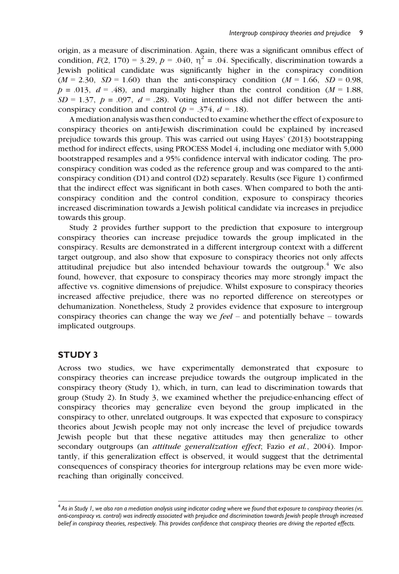origin, as a measure of discrimination. Again, there was a significant omnibus effect of condition,  $F(2, 170) = 3.29$ ,  $p = .040$ ,  $\eta^2 = .04$ . Specifically, discrimination towards a Jewish political candidate was significantly higher in the conspiracy condition  $(M = 2.30, SD = 1.60)$  than the anti-conspiracy condition  $(M = 1.66, SD = 0.98,$  $p = .013$ ,  $d = .48$ ), and marginally higher than the control condition ( $M = 1.88$ ,  $SD = 1.37$ ,  $p = .097$ ,  $d = .28$ ). Voting intentions did not differ between the anticonspiracy condition and control ( $p = .374$ ,  $d = .18$ ).

A mediation analysis was then conducted to examine whether the effect of exposure to conspiracy theories on anti-Jewish discrimination could be explained by increased prejudice towards this group. This was carried out using Hayes' (2013) bootstrapping method for indirect effects, using PROCESS Model 4, including one mediator with 5,000 bootstrapped resamples and a 95% confidence interval with indicator coding. The proconspiracy condition was coded as the reference group and was compared to the anticonspiracy condition (D1) and control (D2) separately. Results (see Figure 1) confirmed that the indirect effect was significant in both cases. When compared to both the anticonspiracy condition and the control condition, exposure to conspiracy theories increased discrimination towards a Jewish political candidate via increases in prejudice towards this group.

Study 2 provides further support to the prediction that exposure to intergroup conspiracy theories can increase prejudice towards the group implicated in the conspiracy. Results are demonstrated in a different intergroup context with a different target outgroup, and also show that exposure to conspiracy theories not only affects attitudinal prejudice but also intended behaviour towards the outgroup.<sup>4</sup> We also found, however, that exposure to conspiracy theories may more strongly impact the affective vs. cognitive dimensions of prejudice. Whilst exposure to conspiracy theories increased affective prejudice, there was no reported difference on stereotypes or dehumanization. Nonetheless, Study 2 provides evidence that exposure to intergroup conspiracy theories can change the way we *feel* – and potentially behave – towards implicated outgroups.

#### STUDY 3

Across two studies, we have experimentally demonstrated that exposure to conspiracy theories can increase prejudice towards the outgroup implicated in the conspiracy theory (Study 1), which, in turn, can lead to discrimination towards that group (Study 2). In Study 3, we examined whether the prejudice-enhancing effect of conspiracy theories may generalize even beyond the group implicated in the conspiracy to other, unrelated outgroups. It was expected that exposure to conspiracy theories about Jewish people may not only increase the level of prejudice towards Jewish people but that these negative attitudes may then generalize to other secondary outgroups (an *attitude generalization effect*; Fazio *et al.*, 2004). Importantly, if this generalization effect is observed, it would suggest that the detrimental consequences of conspiracy theories for intergroup relations may be even more widereaching than originally conceived.

<sup>4</sup> *As in Study 1, we also ran a mediation analysis using indicator coding where we found that exposure to conspiracy theories (vs. anti-conspiracy vs. control) was indirectly associated with prejudice and discrimination towards Jewish people through increased belief in conspiracy theories, respectively. This provides confidence that conspiracy theories are driving the reported effects.*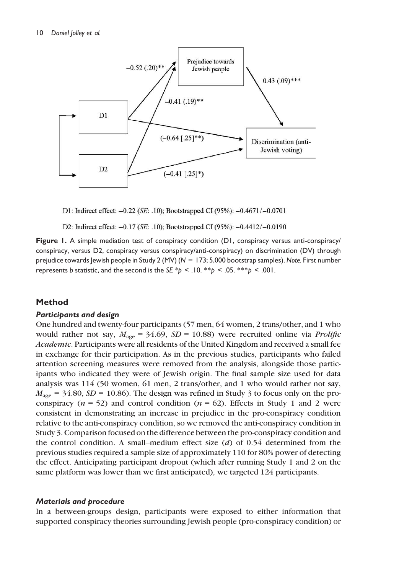

D1: Indirect effect: -0.22 (SE: .10); Bootstrapped CI (95%): -0.4671/-0.0701

D2: Indirect effect:  $-0.17$  (*SE*: .10); Bootstrapped CI (95%):  $-0.4412/-0.0190$ 

Figure 1. A simple mediation test of conspiracy condition (D1, conspiracy versus anti-conspiracy/ conspiracy, versus D2, conspiracy versus conspiracy/anti-conspiracy) on discrimination (DV) through prejudice towards Jewish people in Study 2 (MV) (*N* = 173; 5,000 bootstrap samples). *Note.* First number represents *b* statistic, and the second is the *SE \*p < .*10. \*\**p <* .05. \*\*\**p <* .001.

#### Method

#### Participants and design

One hundred and twenty-four participants (57 men, 64 women, 2 trans/other, and 1 who would rather not say,  $M_{\text{age}} = 34.69$ ,  $SD = 10.88$ ) were recruited online via *Prolific Academic*. Participants were all residents of the United Kingdom and received a small fee in exchange for their participation. As in the previous studies, participants who failed attention screening measures were removed from the analysis, alongside those participants who indicated they were of Jewish origin. The final sample size used for data analysis was 114 (50 women, 61 men, 2 trans/other, and 1 who would rather not say,  $M_{\text{age}} = 34.80, SD = 10.86$ . The design was refined in Study 3 to focus only on the proconspiracy ( $n = 52$ ) and control condition ( $n = 62$ ). Effects in Study 1 and 2 were consistent in demonstrating an increase in prejudice in the pro-conspiracy condition relative to the anti-conspiracy condition, so we removed the anti-conspiracy condition in Study 3. Comparison focused on the difference between the pro-conspiracy condition and the control condition. A small–medium effect size (*d*) of 0.54 determined from the previous studies required a sample size of approximately 110 for 80% power of detecting the effect. Anticipating participant dropout (which after running Study 1 and 2 on the same platform was lower than we first anticipated), we targeted 124 participants.

#### Materials and procedure

In a between-groups design, participants were exposed to either information that supported conspiracy theories surrounding Jewish people (pro-conspiracy condition) or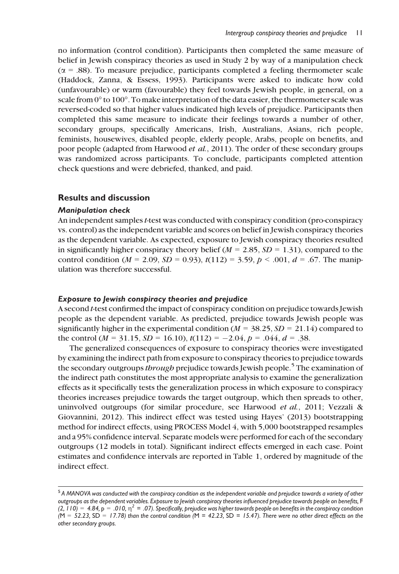no information (control condition). Participants then completed the same measure of belief in Jewish conspiracy theories as used in Study 2 by way of a manipulation check  $(\alpha = .88)$ . To measure prejudice, participants completed a feeling thermometer scale (Haddock, Zanna, & Essess, 1993). Participants were asked to indicate how cold (unfavourable) or warm (favourable) they feel towards Jewish people, in general, on a scale from  $0^{\circ}$  to  $100^{\circ}$ . To make interpretation of the data easier, the thermometer scale was reversed-coded so that higher values indicated high levels of prejudice. Participants then completed this same measure to indicate their feelings towards a number of other, secondary groups, specifically Americans, Irish, Australians, Asians, rich people, feminists, housewives, disabled people, elderly people, Arabs, people on benefits, and poor people (adapted from Harwood *et al.*, 2011). The order of these secondary groups was randomized across participants. To conclude, participants completed attention check questions and were debriefed, thanked, and paid.

#### Results and discussion

#### Manipulation check

An independent samples*t*-test was conducted with conspiracy condition (pro-conspiracy vs. control) as the independent variable and scores on belief in Jewish conspiracy theories as the dependent variable. As expected, exposure to Jewish conspiracy theories resulted in significantly higher conspiracy theory belief ( $M = 2.85$ ,  $SD = 1.31$ ), compared to the control condition ( $M = 2.09$ ,  $SD = 0.93$ ),  $t(112) = 3.59$ ,  $p < .001$ ,  $d = .67$ . The manipulation was therefore successful.

#### Exposure to Jewish conspiracy theories and prejudice

A second *t*-test confirmed the impact of conspiracy condition on prejudice towards Jewish people as the dependent variable. As predicted, prejudice towards Jewish people was significantly higher in the experimental condition ( $M = 38.25$ ,  $SD = 21.14$ ) compared to the control ( $M = 31.15$ ,  $SD = 16.10$ ),  $t(112) = -2.04$ ,  $p = .044$ ,  $d = .38$ .

The generalized consequences of exposure to conspiracy theories were investigated by examining the indirect path from exposure to conspiracy theories to prejudice towards the secondary outgroups*through* prejudice towards Jewish people.<sup>5</sup> The examination of the indirect path constitutes the most appropriate analysis to examine the generalization effects as it specifically tests the generalization process in which exposure to conspiracy theories increases prejudice towards the target outgroup, which then spreads to other, uninvolved outgroups (for similar procedure, see Harwood *et al.*, 2011; Vezzali & Giovannini, 2012). This indirect effect was tested using Hayes' (2013) bootstrapping method for indirect effects, using PROCESS Model 4, with 5,000 bootstrapped resamples and a 95% confidence interval. Separate models were performed for each of the secondary outgroups (12 models in total). Significant indirect effects emerged in each case. Point estimates and confidence intervals are reported in Table 1, ordered by magnitude of the indirect effect.

<sup>5</sup> *A MANOVA was conducted with the conspiracy condition as the independent variable and prejudice towards a variety of other outgroups as the dependent variables. Exposure to Jewish conspiracy theories influenced prejudice towards people on benefits,* F  $(2, 110) = 4.84$ , p  $= .010$ ,  $\eta^2 = .07$ ). Specifically, prejudice was higher towards people on benefits in the conspiracy condition *(*M = *52.23,* SD = *17.78) than the control condition (*M = *42.23,* SD = *15.47). There were no other direct effects on the other secondary groups.*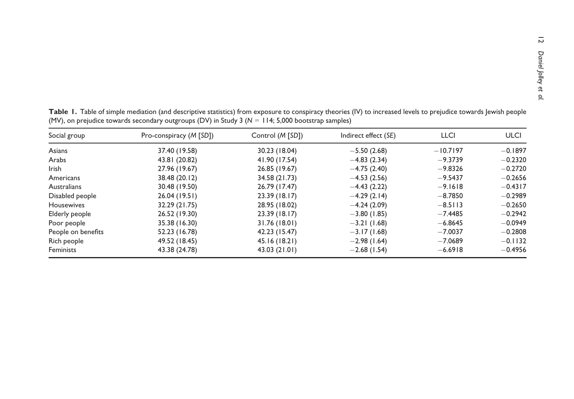| Social group       | Pro-conspiracy (M [SD]) | Control ( <i>M</i> [SD]) | Indirect effect (SE) | <b>LLCI</b> | <b>ULCI</b> |
|--------------------|-------------------------|--------------------------|----------------------|-------------|-------------|
| Asians             | 37.40 (19.58)           | 30.23 (18.04)            | $-5.50(2.68)$        | $-10.7197$  | $-0.1897$   |
| Arabs              | 43.81 (20.82)           | 41.90 (17.54)            | $-4.83(2.34)$        | $-9.3739$   | $-0.2320$   |
| <b>Irish</b>       | 27.96 (19.67)           | 26.85 (19.67)            | $-4.75(2.40)$        | $-9.8326$   | $-0.2720$   |
| Americans          | 38.48 (20.12)           | 34.58 (21.73)            | $-4.53(2.56)$        | $-9.5437$   | $-0.2656$   |
| Australians        | 30.48 (19.50)           | 26.79 (17.47)            | $-4.43(2.22)$        | $-9.1618$   | $-0.4317$   |
| Disabled people    | 26.04 (19.51)           | 23.39 (18.17)            | $-4.29(2.14)$        | $-8.7850$   | $-0.2989$   |
| Housewives         | 32.29 (21.75)           | 28.95 (18.02)            | $-4.24(2.09)$        | $-8.5113$   | $-0.2650$   |
| Elderly people     | 26.52 (19.30)           | 23.39 (18.17)            | $-3.80(1.85)$        | $-7.4485$   | $-0.2942$   |
| Poor people        | 35.38 (16.30)           | 31.76 (18.01)            | $-3.21(1.68)$        | $-6.8645$   | $-0.0949$   |
| People on benefits | 52.23 (16.78)           | 42.23 (15.47)            | $-3.17(1.68)$        | $-7.0037$   | $-0.2808$   |
| Rich people        | 49.52 (18.45)           | 45.16 (18.21)            | $-2.98(1.64)$        | $-7.0689$   | $-0.1132$   |
| Feminists          | 43.38 (24.78)           | 43.03 (21.01)            | $-2.68(1.54)$        | $-6.6918$   | $-0.4956$   |

Table 1. Table of simple mediation (and descriptive statistics) from exposure to conspiracy theories (IV) to increased levels to prejudice towards Jewish people(MV), on prejudice towards secondary outgroups (DV) in Study 3 (*N* <sup>=</sup> 114; 5,000 bootstrap samples)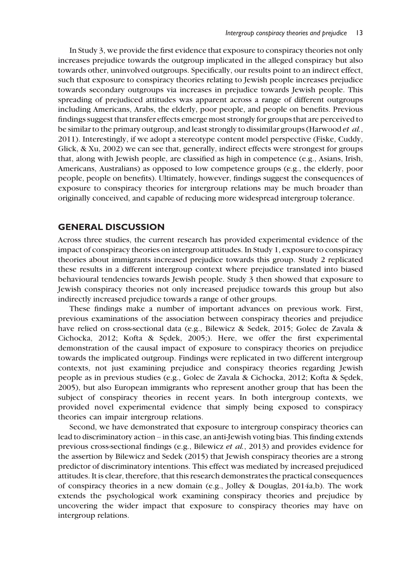In Study 3, we provide the first evidence that exposure to conspiracy theories not only increases prejudice towards the outgroup implicated in the alleged conspiracy but also towards other, uninvolved outgroups. Specifically, our results point to an indirect effect, such that exposure to conspiracy theories relating to Jewish people increases prejudice towards secondary outgroups via increases in prejudice towards Jewish people. This spreading of prejudiced attitudes was apparent across a range of different outgroups including Americans, Arabs, the elderly, poor people, and people on benefits. Previous findings suggest that transfer effects emerge most strongly for groups that are perceived to be similar to the primary outgroup, and least strongly to dissimilar groups (Harwood *et al.*, 2011). Interestingly, if we adopt a stereotype content model perspective (Fiske, Cuddy, Glick, & Xu, 2002) we can see that, generally, indirect effects were strongest for groups that, along with Jewish people, are classified as high in competence (e.g., Asians, Irish, Americans, Australians) as opposed to low competence groups (e.g., the elderly, poor people, people on benefits). Ultimately, however, findings suggest the consequences of exposure to conspiracy theories for intergroup relations may be much broader than originally conceived, and capable of reducing more widespread intergroup tolerance.

#### GENERAL DISCUSSION

Across three studies, the current research has provided experimental evidence of the impact of conspiracy theories on intergroup attitudes. In Study 1, exposure to conspiracy theories about immigrants increased prejudice towards this group. Study 2 replicated these results in a different intergroup context where prejudice translated into biased behavioural tendencies towards Jewish people. Study 3 then showed that exposure to Jewish conspiracy theories not only increased prejudice towards this group but also indirectly increased prejudice towards a range of other groups.

These findings make a number of important advances on previous work. First, previous examinations of the association between conspiracy theories and prejudice have relied on cross-sectional data (e.g., Bilewicz & Sedek, 2015; Golec de Zavala & Cichocka, 2012; Kofta & Sezdek, 2005;). Here, we offer the first experimental demonstration of the causal impact of exposure to conspiracy theories on prejudice towards the implicated outgroup. Findings were replicated in two different intergroup contexts, not just examining prejudice and conspiracy theories regarding Jewish people as in previous studies (e.g., Golec de Zavala & Cichocka, 2012; Kofta & Sezdek, 2005), but also European immigrants who represent another group that has been the subject of conspiracy theories in recent years. In both intergroup contexts, we provided novel experimental evidence that simply being exposed to conspiracy theories can impair intergroup relations.

Second, we have demonstrated that exposure to intergroup conspiracy theories can lead to discriminatory action – in this case, an anti-Jewish voting bias. This finding extends previous cross-sectional findings (e.g., Bilewicz *et al.*, 2013) and provides evidence for the assertion by Bilewicz and Sedek (2015) that Jewish conspiracy theories are a strong predictor of discriminatory intentions. This effect was mediated by increased prejudiced attitudes. It is clear, therefore, that this research demonstrates the practical consequences of conspiracy theories in a new domain (e.g., Jolley & Douglas, 2014a,b). The work extends the psychological work examining conspiracy theories and prejudice by uncovering the wider impact that exposure to conspiracy theories may have on intergroup relations.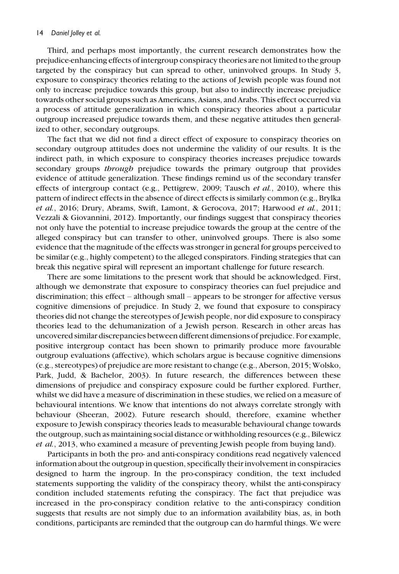Third, and perhaps most importantly, the current research demonstrates how the prejudice-enhancing effects of intergroup conspiracy theories are not limited to the group targeted by the conspiracy but can spread to other, uninvolved groups. In Study 3, exposure to conspiracy theories relating to the actions of Jewish people was found not only to increase prejudice towards this group, but also to indirectly increase prejudice towards other social groups such as Americans, Asians, and Arabs. This effect occurred via a process of attitude generalization in which conspiracy theories about a particular outgroup increased prejudice towards them, and these negative attitudes then generalized to other, secondary outgroups.

The fact that we did not find a direct effect of exposure to conspiracy theories on secondary outgroup attitudes does not undermine the validity of our results. It is the indirect path, in which exposure to conspiracy theories increases prejudice towards secondary groups *through* prejudice towards the primary outgroup that provides evidence of attitude generalization. These findings remind us of the secondary transfer effects of intergroup contact (e.g., Pettigrew, 2009; Tausch *et al.*, 2010), where this pattern of indirect effects in the absence of direct effects is similarly common (e.g., Brylka *et al.*, 2016; Drury, Abrams, Swift, Lamont, & Gerocova, 2017; Harwood *et al.*, 2011; Vezzali & Giovannini, 2012). Importantly, our findings suggest that conspiracy theories not only have the potential to increase prejudice towards the group at the centre of the alleged conspiracy but can transfer to other, uninvolved groups. There is also some evidence that the magnitude of the effects was stronger in general for groups perceived to be similar (e.g., highly competent) to the alleged conspirators. Finding strategies that can break this negative spiral will represent an important challenge for future research.

There are some limitations to the present work that should be acknowledged. First, although we demonstrate that exposure to conspiracy theories can fuel prejudice and discrimination; this effect – although small – appears to be stronger for affective versus cognitive dimensions of prejudice. In Study 2, we found that exposure to conspiracy theories did not change the stereotypes of Jewish people, nor did exposure to conspiracy theories lead to the dehumanization of a Jewish person. Research in other areas has uncovered similar discrepancies between different dimensions of prejudice. For example, positive intergroup contact has been shown to primarily produce more favourable outgroup evaluations (affective), which scholars argue is because cognitive dimensions (e.g., stereotypes) of prejudice are more resistant to change (e.g., Aberson, 2015; Wolsko, Park, Judd, & Bachelor, 2003). In future research, the differences between these dimensions of prejudice and conspiracy exposure could be further explored. Further, whilst we did have a measure of discrimination in these studies, we relied on a measure of behavioural intentions. We know that intentions do not always correlate strongly with behaviour (Sheeran, 2002). Future research should, therefore, examine whether exposure to Jewish conspiracy theories leads to measurable behavioural change towards the outgroup, such as maintaining social distance or withholding resources (e.g., Bilewicz *et al.*, 2013, who examined a measure of preventing Jewish people from buying land).

Participants in both the pro- and anti-conspiracy conditions read negatively valenced information about the outgroup in question, specifically their involvement in conspiracies designed to harm the ingroup. In the pro-conspiracy condition, the text included statements supporting the validity of the conspiracy theory, whilst the anti-conspiracy condition included statements refuting the conspiracy. The fact that prejudice was increased in the pro-conspiracy condition relative to the anti-conspiracy condition suggests that results are not simply due to an information availability bias, as, in both conditions, participants are reminded that the outgroup can do harmful things. We were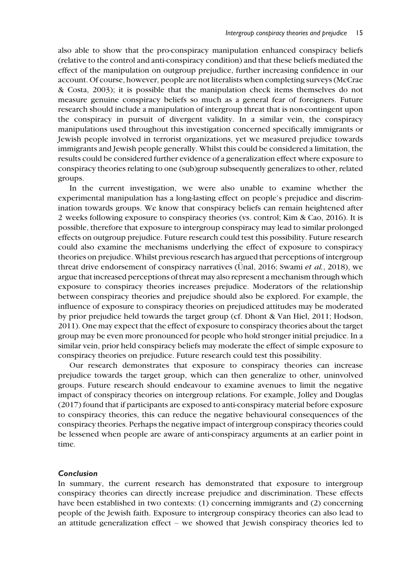also able to show that the pro-conspiracy manipulation enhanced conspiracy beliefs (relative to the control and anti-conspiracy condition) and that these beliefs mediated the effect of the manipulation on outgroup prejudice, further increasing confidence in our account. Of course, however, people are not literalists when completing surveys (McCrae & Costa, 2003); it is possible that the manipulation check items themselves do not measure genuine conspiracy beliefs so much as a general fear of foreigners. Future research should include a manipulation of intergroup threat that is non-contingent upon the conspiracy in pursuit of divergent validity. In a similar vein, the conspiracy manipulations used throughout this investigation concerned specifically immigrants or Jewish people involved in terrorist organizations, yet we measured prejudice towards immigrants and Jewish people generally. Whilst this could be considered a limitation, the results could be considered further evidence of a generalization effect where exposure to conspiracy theories relating to one (sub)group subsequently generalizes to other, related groups.

In the current investigation, we were also unable to examine whether the experimental manipulation has a long-lasting effect on people's prejudice and discrimination towards groups. We know that conspiracy beliefs can remain heightened after 2 weeks following exposure to conspiracy theories (vs. control; Kim & Cao, 2016). It is possible, therefore that exposure to intergroup conspiracy may lead to similar prolonged effects on outgroup prejudice. Future research could test this possibility. Future research could also examine the mechanisms underlying the effect of exposure to conspiracy theories on prejudice. Whilst previous research has argued that perceptions of intergroup threat drive endorsement of conspiracy narratives (Unal, 2016; Swami *et al.*, 2018), we argue that increased perceptions of threat may also represent a mechanism through which exposure to conspiracy theories increases prejudice. Moderators of the relationship between conspiracy theories and prejudice should also be explored. For example, the influence of exposure to conspiracy theories on prejudiced attitudes may be moderated by prior prejudice held towards the target group (cf. Dhont & Van Hiel, 2011; Hodson, 2011). One may expect that the effect of exposure to conspiracy theories about the target group may be even more pronounced for people who hold stronger initial prejudice. In a similar vein, prior held conspiracy beliefs may moderate the effect of simple exposure to conspiracy theories on prejudice. Future research could test this possibility.

Our research demonstrates that exposure to conspiracy theories can increase prejudice towards the target group, which can then generalize to other, uninvolved groups. Future research should endeavour to examine avenues to limit the negative impact of conspiracy theories on intergroup relations. For example, Jolley and Douglas (2017) found that if participants are exposed to anti-conspiracy material before exposure to conspiracy theories, this can reduce the negative behavioural consequences of the conspiracy theories. Perhaps the negative impact of intergroup conspiracy theories could be lessened when people are aware of anti-conspiracy arguments at an earlier point in time.

#### Conclusion

In summary, the current research has demonstrated that exposure to intergroup conspiracy theories can directly increase prejudice and discrimination. These effects have been established in two contexts: (1) concerning immigrants and (2) concerning people of the Jewish faith. Exposure to intergroup conspiracy theories can also lead to an attitude generalization effect – we showed that Jewish conspiracy theories led to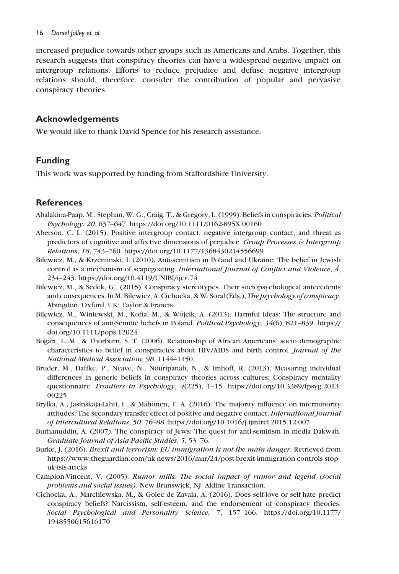#### 16 *Daniel Jolley et al.*

increased prejudice towards other groups such as Americans and Arabs. Together, this research suggests that conspiracy theories can have a widespread negative impact on intergroup relations. Efforts to reduce prejudice and defuse negative intergroup relations should, therefore, consider the contribution of popular and pervasive conspiracy theories.

#### Acknowledgements

We would like to thank David Spence for his research assistance.

#### Funding

This work was supported by funding from Staffordshire University.

#### **References**

- Abalakina-Paap, M., Stephan, W. G., Craig, T., & Gregory, L. (1999). Beliefs in conspiracies. *Political Psychology*, *20*, 637–647.<https://doi.org/10.1111/0162-895X.00160>
- Aberson, C. L. (2015). Positive intergroup contact, negative intergroup contact, and threat as predictors of cognitive and affective dimensions of prejudice. *Group Processes & Intergroup Relations*, *18*, 743–760.<https://doi.org/10.1177/1368430214556699>
- Bilewicz, M., & Krzeminski, I. (2010). Anti-semitism in Poland and Ukraine: The belief in Jewish control as a mechanism of scapegoating. *International Journal of Conflict and Violence*, *4*, 234–243.<https://doi.org/10.4119/UNIBI/ijcv.74>
- Bilewicz, M., & Sedek, G. (2015). Conspiracy stereotypes. Their sociopsychological antecedents and consequences. In M. Bilewicz, A. Cichocka, & W. Soral (Eds.), *The psychology of conspiracy*. Abingdon, Oxford, UK: Taylor & Francis.
- Bilewicz, M., Winiewski, M., Kofta, M., & Wojcik, A. (2013). Harmful ideas: The structure and consequences of anti-Semitic beliefs in Poland. *Political Psychology*, *34*(6), 821–839. [https://](https://doi.org/10.1111/pops.12024) [doi.org/10.1111/pops.12024](https://doi.org/10.1111/pops.12024)
- Bogart, L. M., & Thorburn, S. T. (2006). Relationship of African Americans' socio demographic characteristics to belief in conspiracies about HIV/AIDS and birth control. *Journal of the National Medical Association*, *98*, 1144–1150.
- Bruder, M., Haffke, P., Neave, N., Nouripanah, N., & Imhoff, R. (2013). Measuring individual differences in generic beliefs in conspiracy theories across cultures: Conspiracy mentality questionnaire. *Frontiers in Psychology*, *4*(225), 1–15. [https://doi.org/10.3389/fpsyg.2013.](https://doi.org/10.3389/fpsyg.2013.00225) [00225](https://doi.org/10.3389/fpsyg.2013.00225)
- Brylka, A., Jasinskaja-Lahti, I., & Mähönen, T. A. (2016). The majority influence on interminority attitudes: The secondary transfer effect of positive and negative contact. *International Journal of Intercultural Relations*, *50*, 76–88.<https://doi.org/10.1016/j.ijintrel.2015.12.007>
- Burhanuddin, A. (2007). The conspiracy of Jews: The quest for anti-semitism in media Dakwah. *Graduate Journal of Asia-Pacific Studies*, *5*, 53–76.
- Burke, J. (2016). *Brexit and terrorism: EU immigration is not the main danger*. Retrieved from [https://www.theguardian.com/uk-news/2016/mar/24/post-brexit-immigration-controls-stop](https://www.theguardian.com/uk-news/2016/mar/24/post-brexit-immigration-controls-stop-uk-isis-attcks)[uk-isis-attcks](https://www.theguardian.com/uk-news/2016/mar/24/post-brexit-immigration-controls-stop-uk-isis-attcks)
- Campion-Vincent, V. (2005). *Rumor mills: The social impact of rumor and legend (social problems and social issues)*. New Brunswick, NJ: Aldine Transaction.
- Cichocka, A., Marchlewska, M., & Golec de Zavala, A. (2016). Does self-love or self-hate predict conspiracy beliefs? Narcissism, self-esteem, and the endorsement of conspiracy theories. *Social Psychological and Personality Science*, *7*, 157–166. [https://doi.org/10.1177/](https://doi.org/10.1177/1948550615616170) [1948550615616170](https://doi.org/10.1177/1948550615616170)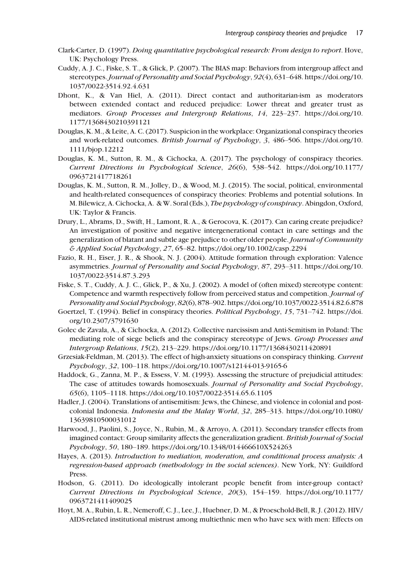- Clark-Carter, D. (1997). *Doing quantitative psychological research: From design to report*. Hove, UK: Psychology Press.
- Cuddy, A. J. C., Fiske, S. T., & Glick, P. (2007). The BIAS map: Behaviors from intergroup affect and stereotypes. *Journal of Personality and Social Psychology*, *92*(4), 631–648. [https://doi.org/10.](https://doi.org/10.1037/0022-3514.92.4.631) [1037/0022-3514.92.4.631](https://doi.org/10.1037/0022-3514.92.4.631)
- Dhont, K., & Van Hiel, A. (2011). Direct contact and authoritarian-ism as moderators between extended contact and reduced prejudice: Lower threat and greater trust as mediators. *Group Processes and Intergroup Relations*, *14*, 223–237. [https://doi.org/10.](https://doi.org/10.1177/1368430210391121) [1177/1368430210391121](https://doi.org/10.1177/1368430210391121)
- Douglas, K. M., & Leite, A. C. (2017). Suspicion in the workplace: Organizational conspiracy theories and work-related outcomes. *British Journal of Psychology*, *3*, 486–506. [https://doi.org/10.](https://doi.org/10.1111/bjop.12212) [1111/bjop.12212](https://doi.org/10.1111/bjop.12212)
- Douglas, K. M., Sutton, R. M., & Cichocka, A. (2017). The psychology of conspiracy theories. *Current Directions in Psychological Science*, *26*(6), 538–542. [https://doi.org/10.1177/](https://doi.org/10.1177/0963721417718261) [0963721417718261](https://doi.org/10.1177/0963721417718261)
- Douglas, K. M., Sutton, R. M., Jolley, D., & Wood, M. J. (2015). The social, political, environmental and health-related consequences of conspiracy theories: Problems and potential solutions. In M. Bilewicz, A. Cichocka, A. & W. Soral (Eds.), *The psychology of conspiracy*. Abingdon, Oxford, UK: Taylor & Francis.
- Drury, L., Abrams, D., Swift, H., Lamont, R. A., & Gerocova, K. (2017). Can caring create prejudice? An investigation of positive and negative intergenerational contact in care settings and the generalization of blatant and subtle age prejudice to other older people. *Journal of Community & Applied Social Psychology*, *27*, 65–82.<https://doi.org/10.1002/casp.2294>
- Fazio, R. H., Eiser, J. R., & Shook, N. J. (2004). Attitude formation through exploration: Valence asymmetries. *Journal of Personality and Social Psychology*, *87*, 293–311. [https://doi.org/10.](https://doi.org/10.1037/0022-3514.87.3.293) [1037/0022-3514.87.3.293](https://doi.org/10.1037/0022-3514.87.3.293)
- Fiske, S. T., Cuddy, A. J. C., Glick, P., & Xu, J. (2002). A model of (often mixed) stereotype content: Competence and warmth respectively follow from perceived status and competition. *Journal of Personality and Social Psychology*, *82*(6), 878–902.<https://doi.org/10.1037/0022-3514.82.6.878>
- Goertzel, T. (1994). Belief in conspiracy theories. *Political Psychology*, *15*, 731–742. [https://doi.](https://doi.org/10.2307/ 3791630) [org/10.2307/3791630](https://doi.org/10.2307/ 3791630)
- Golec de Zavala, A., & Cichocka, A. (2012). Collective narcissism and Anti-Semitism in Poland: The mediating role of siege beliefs and the conspiracy stereotype of Jews. *Group Processes and Intergroup Relations*, *15*(2), 213–229.<https://doi.org/10.1177/1368430211420891>
- Grzesiak-Feldman, M. (2013). The effect of high-anxiety situations on conspiracy thinking. *Current Psychology*, *32*, 100–118.<https://doi.org/10.1007/s12144-013-9165-6>
- Haddock, G., Zanna, M. P., & Essess, V. M. (1993). Assessing the structure of prejudicial attitudes: The case of attitudes towards homosexuals. *Journal of Personality and Social Psychology*, *65*(6), 1105–1118.<https://doi.org/10.1037/0022-3514.65.6.1105>
- Hadler, J. (2004). Translations of antisemitism: Jews, the Chinese, and violence in colonial and postcolonial Indonesia. *Indonesia and the Malay World*, *32*, 285–313. [https://doi.org/10.1080/](https://doi.org/10.1080/13639810500031012) [13639810500031012](https://doi.org/10.1080/13639810500031012)
- Harwood, J., Paolini, S., Joyce, N., Rubin, M., & Arroyo, A. (2011). Secondary transfer effects from imagined contact: Group similarity affects the generalization gradient. *British Journal of Social Psychology*, *50*, 180–189.<https://doi.org/10.1348/014466610X524263>
- Hayes, A. (2013). *Introduction to mediation, moderation, and conditional process analysis: A regression-based approach (methodology in the social sciences)*. New York, NY: Guildford Press.
- Hodson, G. (2011). Do ideologically intolerant people benefit from inter-group contact? *Current Directions in Psychological Science*, *20*(3), 154–159. [https://doi.org/10.1177/](https://doi.org/10.1177/0963721411409025) [0963721411409025](https://doi.org/10.1177/0963721411409025)
- Hoyt, M. A., Rubin, L. R., Nemeroff, C. J., Lee, J., Huebner, D. M., & Proeschold-Bell, R. J. (2012). HIV/ AIDS-related institutional mistrust among multiethnic men who have sex with men: Effects on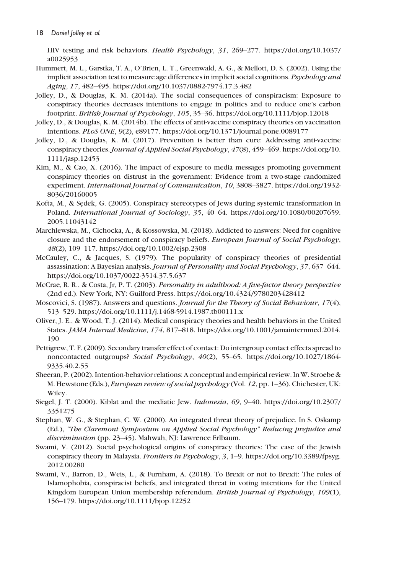HIV testing and risk behaviors. *Health Psychology*, *31*, 269–277. [https://doi.org/10.1037/](https://doi.org/10.1037/a0025953) [a0025953](https://doi.org/10.1037/a0025953)

- Hummert, M. L., Garstka, T. A., O'Brien, L. T., Greenwald, A. G., & Mellott, D. S. (2002). Using the implicit association test to measure age differences in implicit social cognitions. *Psychology and Aging*, *17*, 482–495.<https://doi.org/10.1037/0882-7974.17.3.482>
- Jolley, D., & Douglas, K. M. (2014a). The social consequences of conspiracism: Exposure to conspiracy theories decreases intentions to engage in politics and to reduce one's carbon footprint. *British Journal of Psychology*, *105*, 35–36.<https://doi.org/10.1111/bjop.12018>
- Jolley, D., & Douglas, K. M. (2014b). The effects of anti-vaccine conspiracy theories on vaccination intentions. *PLoS ONE*, *9*(2), e89177.<https://doi.org/10.1371/journal.pone.0089177>
- Jolley, D., & Douglas, K. M. (2017). Prevention is better than cure: Addressing anti-vaccine conspiracy theories. *Journal of Applied Social Psychology*, *47*(8), 459–469. [https://doi.org/10.](https://doi.org/10.1111/jasp.12453) [1111/jasp.12453](https://doi.org/10.1111/jasp.12453)
- Kim, M., & Cao, X. (2016). The impact of exposure to media messages promoting government conspiracy theories on distrust in the government: Evidence from a two-stage randomized experiment. *International Journal of Communication*, *10*, 3808–3827. [https://doi.org/1932-](https://doi.org/1932-8036/20160005) [8036/20160005](https://doi.org/1932-8036/20160005)
- Kofta, M., & Sedek, G. (2005). Conspiracy stereotypes of Jews during systemic transformation in Poland. *International Journal of Sociology*, *35*, 40–64. [https://doi.org/10.1080/00207659.](https://doi.org/10.1080/00207659.2005.11043142) [2005.11043142](https://doi.org/10.1080/00207659.2005.11043142)
- Marchlewska, M., Cichocka, A., & Kossowska, M. (2018). Addicted to answers: Need for cognitive closure and the endorsement of conspiracy beliefs. *European Journal of Social Psychology*, *48*(2), 109–117.<https://doi.org/10.1002/ejsp.2308>
- McCauley, C., & Jacques, S. (1979). The popularity of conspiracy theories of presidential assassination: A Bayesian analysis. *Journal of Personality and Social Psychology*, *37*, 637–644. <https://doi.org/10.1037/0022-3514.37.5.637>
- McCrae, R. R., & Costa, Jr, P. T. (2003). *Personality in adulthood: A five-factor theory perspective* (2nd ed.). New York, NY: Guilford Press.<https://doi.org/10.4324/9780203428412>
- Moscovici, S. (1987). Answers and questions. *Journal for the Theory of Social Behaviour*, *17*(4), 513–529.<https://doi.org/10.1111/j.1468-5914.1987.tb00111.x>
- Oliver, J. E., & Wood, T. J. (2014). Medical conspiracy theories and health behaviors in the United States. *JAMA Internal Medicine*, *174*, 817–818. [https://doi.org/10.1001/jamainternmed.2014.](https://doi.org/10.1001/jamainternmed.2014.190) [190](https://doi.org/10.1001/jamainternmed.2014.190)
- Pettigrew, T. F. (2009). Secondary transfer effect of contact: Do intergroup contact effects spread to noncontacted outgroups? *Social Psychology*, *40*(2), 55–65. [https://doi.org/10.1027/1864-](https://doi.org/10.1027/1864-9335.40.2.55) [9335.40.2.55](https://doi.org/10.1027/1864-9335.40.2.55)
- Sheeran, P. (2002). Intention-behavior relations: A conceptual and empirical review. In W. Stroebe & M. Hewstone (Eds.), *European review of social psychology* (Vol. *12*, pp. 1–36). Chichester, UK: Wiley.
- Siegel, J. T. (2000). Kiblat and the mediatic Jew. *Indonesia*, *69*, 9–40. [https://doi.org/10.2307/](https://doi.org/10.2307/3351275) [3351275](https://doi.org/10.2307/3351275)
- Stephan, W. G., & Stephan, C. W. (2000). An integrated threat theory of prejudice. In S. Oskamp (Ed.), *"The Claremont Symposium on Applied Social Psychology" Reducing prejudice and discrimination* (pp. 23–45). Mahwah, NJ: Lawrence Erlbaum.
- Swami, V. (2012). Social psychological origins of conspiracy theories: The case of the Jewish conspiracy theory in Malaysia. *Frontiers in Psychology*, *3*, 1–9. [https://doi.org/10.3389/fpsyg.](https://doi.org/10.3389/fpsyg.2012.00280) [2012.00280](https://doi.org/10.3389/fpsyg.2012.00280)
- Swami, V., Barron, D., Weis, L., & Furnham, A. (2018). To Brexit or not to Brexit: The roles of Islamophobia, conspiracist beliefs, and integrated threat in voting intentions for the United Kingdom European Union membership referendum. *British Journal of Psychology*, *109*(1), 156–179.<https://doi.org/10.1111/bjop.12252>